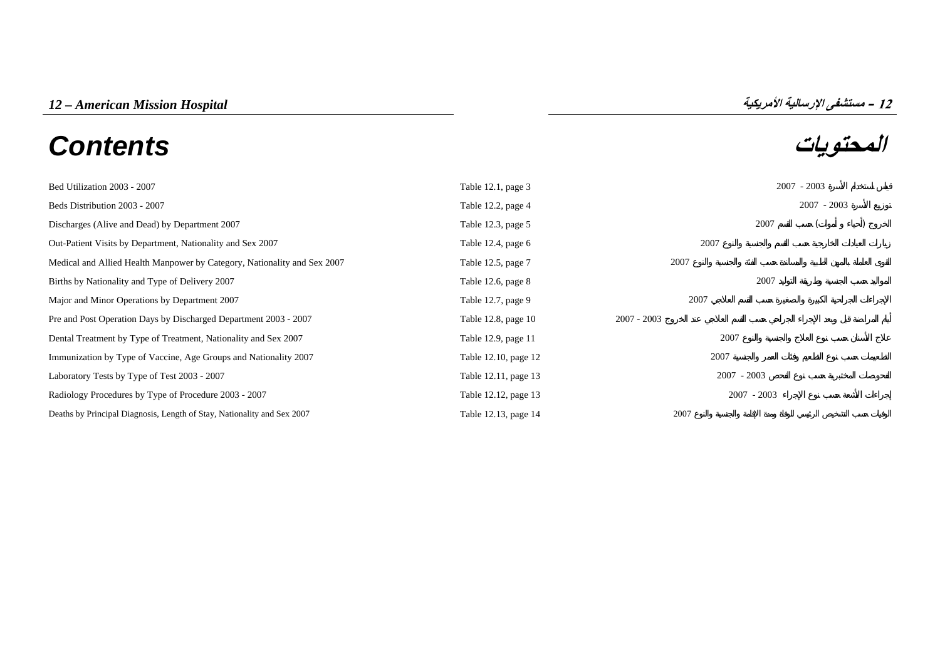# **المحتويات** *Contents*

| 12 – مستشفى الإرسالية الأمريكيا |  |
|---------------------------------|--|
|                                 |  |

| Bed Utilization 2003 - 2007                                              | Table $12.1$ , page $3$ |               |               | $2007 - 2003$ |               |
|--------------------------------------------------------------------------|-------------------------|---------------|---------------|---------------|---------------|
| Beds Distribution 2003 - 2007                                            | Table 12.2, page 4      |               |               |               | $2007 - 2003$ |
| Discharges (Alive and Dead) by Department 2007                           | Table 12.3, page 5      |               | 2007          |               |               |
| Out-Patient Visits by Department, Nationality and Sex 2007               | Table 12.4, page $6$    | 2007          |               |               |               |
| Medical and Allied Health Manpower by Category, Nationality and Sex 2007 | Table 12.5, page 7      | 2007          |               |               |               |
| Births by Nationality and Type of Delivery 2007                          | Table 12.6, page 8      |               | 2007          |               |               |
| Major and Minor Operations by Department 2007                            | Table 12.7, page 9      | 2007          |               |               |               |
| Pre and Post Operation Days by Discharged Department 2003 - 2007         | Table 12.8, page 10     | $2007 - 2003$ |               |               |               |
| Dental Treatment by Type of Treatment, Nationality and Sex 2007          | Table 12.9, page 11     | 2007          |               |               |               |
| Immunization by Type of Vaccine, Age Groups and Nationality 2007         | Table 12.10, page 12    | 2007          |               |               |               |
| Laboratory Tests by Type of Test 2003 - 2007                             | Table 12.11, page 13    |               | $2007 - 2003$ |               |               |
| Radiology Procedures by Type of Procedure 2003 - 2007                    | Table 12.12, page 13    |               | $2007 - 2003$ |               |               |
| Deaths by Principal Diagnosis, Length of Stay, Nationality and Sex 2007  | Table 12.13, page 14    | 2007          |               |               |               |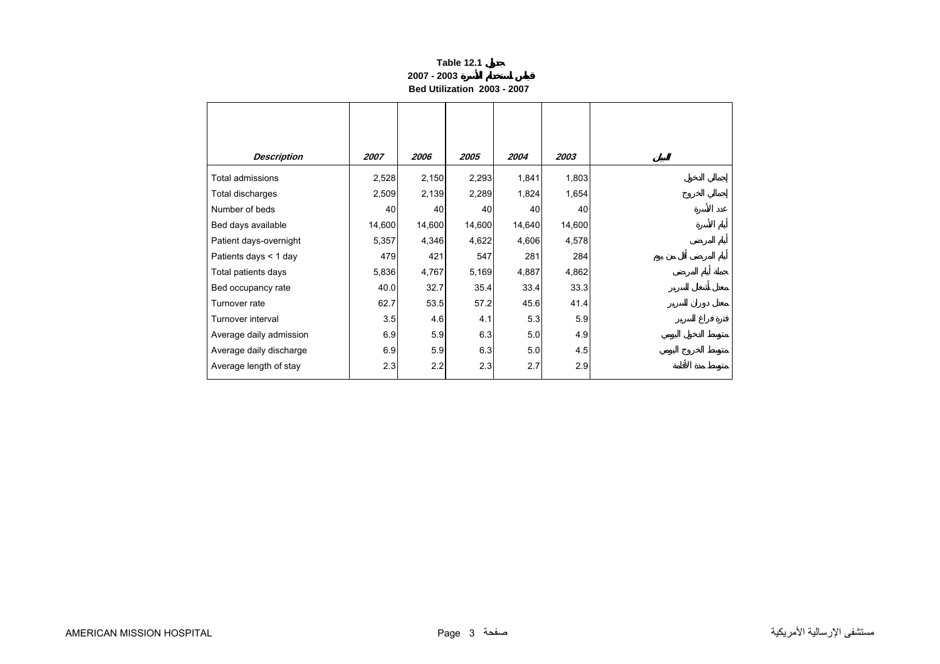#### **Table 12.1 2007 - 2003Bed Utilization 2003 - 2007**

<span id="page-1-0"></span>

| <b>Description</b>      | 2007   | 2006   | 2005   | 2004   | 2003   |
|-------------------------|--------|--------|--------|--------|--------|
| Total admissions        | 2,528  | 2,150  | 2,293  | 1,841  | 1,803  |
| Total discharges        | 2,509  | 2,139  | 2,289  | 1,824  | 1,654  |
| Number of beds          | 40     | 40     | 40     | 40     | 40     |
| Bed days available      | 14,600 | 14,600 | 14,600 | 14,640 | 14,600 |
| Patient days-overnight  | 5,357  | 4,346  | 4,622  | 4,606  | 4,578  |
| Patients days < 1 day   | 479    | 421    | 547    | 281    | 284    |
| Total patients days     | 5,836  | 4,767  | 5,169  | 4,887  | 4,862  |
| Bed occupancy rate      | 40.0   | 32.7   | 35.4   | 33.4   | 33.3   |
| Turnover rate           | 62.7   | 53.5   | 57.2   | 45.6   | 41.4   |
| Turnover interval       | 3.5    | 4.6    | 4.1    | 5.3    | 5.9    |
| Average daily admission | 6.9    | 5.9    | 6.3    | 5.0    | 4.9    |
| Average daily discharge | 6.9    | 5.9    | 6.3    | 5.0    | 4.5    |
| Average length of stay  | 2.3    | 2.2    | 2.3    | 2.7    | 2.9    |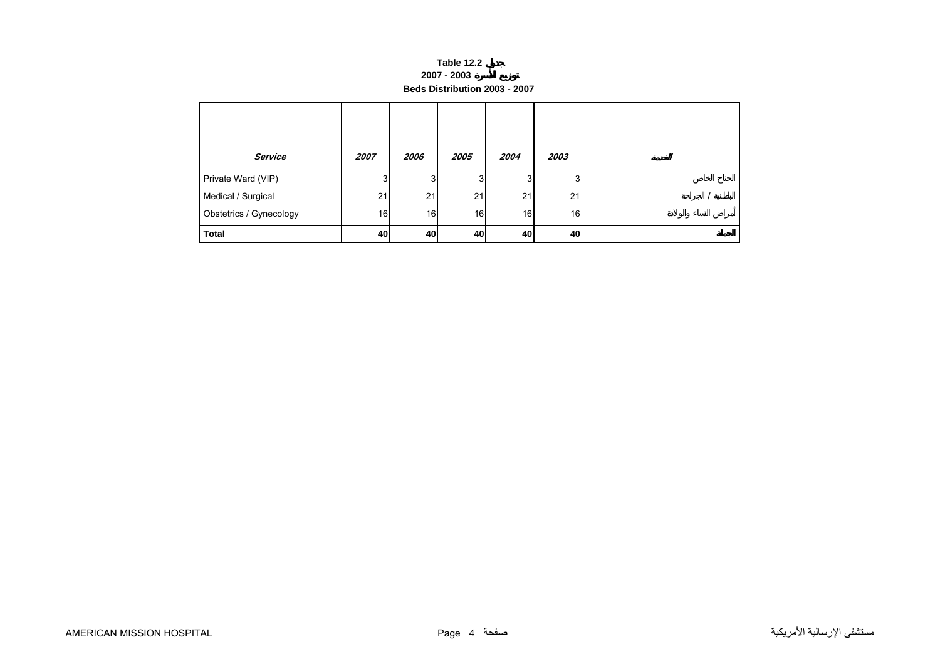#### **Table 12.2 2007 - 2003 Beds Distribution 2003 - 2007**

<span id="page-2-0"></span>

| <b>Service</b>          | 2007 | 2006 | 2005 | 2004 | 2003 |  |
|-------------------------|------|------|------|------|------|--|
| Private Ward (VIP)      | 3    | 3    | 3    | 3    | 3    |  |
| Medical / Surgical      | 21   | 21   | 21   | 21   | 21   |  |
| Obstetrics / Gynecology | 16   | 16   | 16   | 16   | 16   |  |
| <b>Total</b>            | 40   | 40   | 40   | 40   | 40   |  |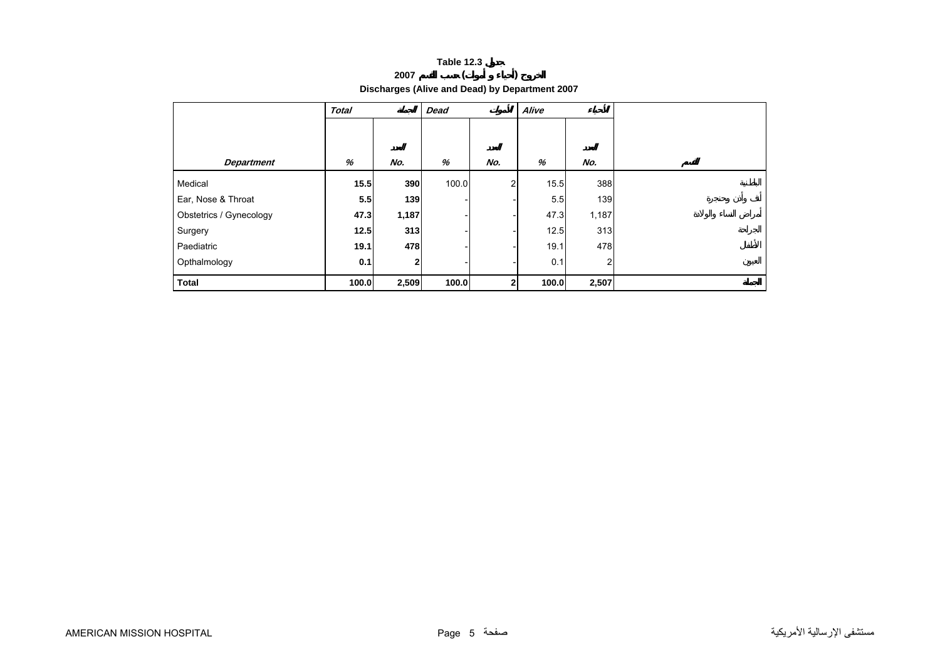## **<sup>2007</sup> ( )**

**Discharges (Alive and Dead) by Department 2007** 

<span id="page-3-0"></span>

|                         | <b>Total</b> |              | <b>Dead</b> |                | Alive |                |  |
|-------------------------|--------------|--------------|-------------|----------------|-------|----------------|--|
|                         |              |              |             |                |       |                |  |
| <b>Department</b>       | %            | No.          | %           | No.            | %     | No.            |  |
| Medical                 | 15.5         | 390          | 100.0       | $\overline{2}$ | 15.5  | 388            |  |
| Ear, Nose & Throat      | 5.5          | 139          |             |                | 5.5   | 139            |  |
| Obstetrics / Gynecology | 47.3         | 1,187        |             |                | 47.3  | 1,187          |  |
| Surgery                 | 12.5         | 313          |             |                | 12.5  | 313            |  |
| Paediatric              | 19.1         | 478          |             |                | 19.1  | 478            |  |
| Opthalmology            | 0.1          | $\mathbf{2}$ |             |                | 0.1   | $\overline{2}$ |  |
| <b>Total</b>            | 100.0        | 2,509        | 100.0       | 2              | 100.0 | 2,507          |  |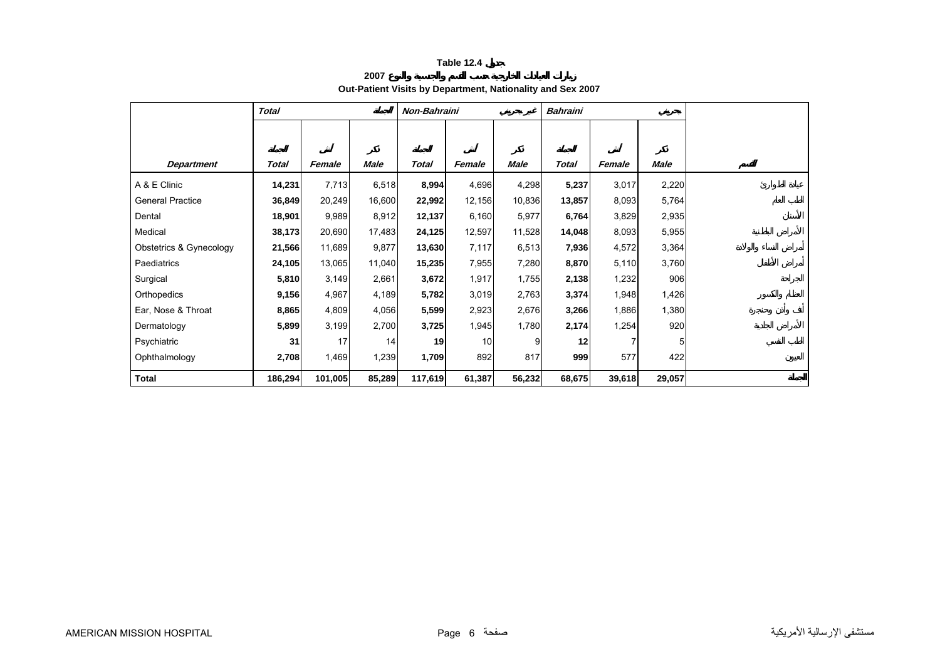## **2007Out-Patient Visits by Department, Nationality and Sex 2007**

<span id="page-4-0"></span>

|                         | <b>Total</b> |         |             | Non-Bahraini |                 |        | <b>Bahraini</b> |        |        |
|-------------------------|--------------|---------|-------------|--------------|-----------------|--------|-----------------|--------|--------|
|                         |              |         |             |              |                 |        |                 |        |        |
|                         |              |         |             |              |                 |        |                 |        |        |
| <b>Department</b>       | Total        | Female  | <b>Male</b> | <b>Total</b> | Female          | Male   | <b>Total</b>    | Female | Male   |
| A & E Clinic            | 14,231       | 7,713   | 6,518       | 8,994        | 4,696           | 4,298  | 5,237           | 3,017  | 2,220  |
| <b>General Practice</b> | 36,849       | 20,249  | 16,600      | 22,992       | 12,156          | 10,836 | 13,857          | 8,093  | 5,764  |
| Dental                  | 18,901       | 9,989   | 8,912       | 12,137       | 6,160           | 5,977  | 6,764           | 3,829  | 2,935  |
| Medical                 | 38,173       | 20,690  | 17,483      | 24,125       | 12,597          | 11,528 | 14,048          | 8,093  | 5,955  |
| Obstetrics & Gynecology | 21,566       | 11,689  | 9,877       | 13,630       | 7,117           | 6,513  | 7,936           | 4,572  | 3,364  |
| Paediatrics             | 24,105       | 13,065  | 11,040      | 15,235       | 7,955           | 7,280  | 8,870           | 5,110  | 3,760  |
| Surgical                | 5,810        | 3,149   | 2,661       | 3,672        | 1,917           | 1,755  | 2,138           | 1,232  | 906    |
| Orthopedics             | 9,156        | 4,967   | 4,189       | 5,782        | 3,019           | 2,763  | 3,374           | 1,948  | 1,426  |
| Ear, Nose & Throat      | 8,865        | 4,809   | 4,056       | 5,599        | 2,923           | 2,676  | 3,266           | 1,886  | 1,380  |
| Dermatology             | 5,899        | 3,199   | 2,700       | 3,725        | 1,945           | 1,780  | 2,174           | 1,254  | 920    |
| Psychiatric             | 31           | 17      | 14          | 19           | 10 <sup>1</sup> | 9      | 12              |        | 5      |
| Ophthalmology           | 2,708        | 1,469   | 1,239       | 1,709        | 892             | 817    | 999             | 577    | 422    |
| <b>Total</b>            | 186,294      | 101,005 | 85,289      | 117,619      | 61,387          | 56,232 | 68,675          | 39,618 | 29,057 |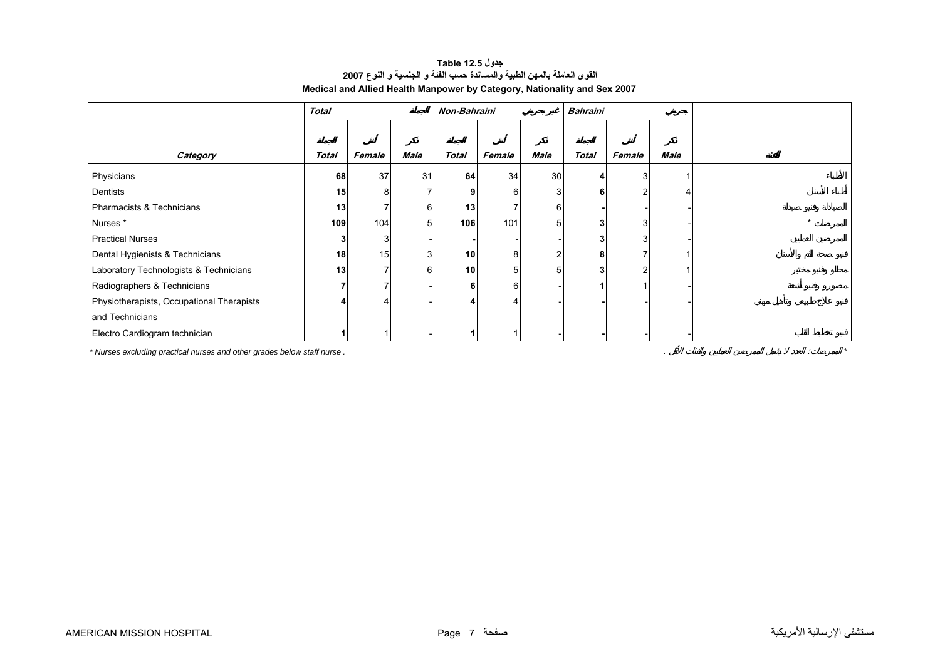<span id="page-5-0"></span>

|                                           | <b>Total</b> |        |                | Non-Bahraini |        |      | Bahraini       |               |             |
|-------------------------------------------|--------------|--------|----------------|--------------|--------|------|----------------|---------------|-------------|
|                                           |              |        |                |              |        |      |                |               |             |
| Category                                  | <b>Total</b> | Female | <b>Male</b>    | <b>Total</b> | Female | Male | <b>Total</b>   | Female        | <b>Male</b> |
| Physicians                                | 68           | 37     | 31             | 64           | 34     | 30   | 4              | 3             |             |
| Dentists                                  | 15           | 8      |                |              | 6      | 3    | 6              | $\mathcal{P}$ |             |
| Pharmacists & Technicians                 | 13           |        | 6              | 13           |        | 6    |                |               |             |
| Nurses*                                   | 109          | 104    | 5 <sup>1</sup> | 106          | 101    | 5    | 3 <sup>1</sup> | 3             |             |
| <b>Practical Nurses</b>                   |              |        |                |              |        |      | $\mathbf{3}$   |               |             |
| Dental Hygienists & Technicians           | 18           | 15     | 3 <sub>l</sub> | 10           | 8      |      | 8              |               |             |
| Laboratory Technologists & Technicians    | 13           |        | $6 \mid$       | 10           | 5      |      | 3 <sup>1</sup> |               |             |
| Radiographers & Technicians               |              |        |                |              | 6      |      |                |               |             |
| Physiotherapists, Occupational Therapists |              |        |                |              |        |      |                |               |             |
| and Technicians                           |              |        |                |              |        |      |                |               |             |
| Electro Cardiogram technician             |              |        |                |              |        |      |                |               |             |

#### **جدول 12.5 Table القوى العاملة بالمهن الطبية والمساندة حسب الفئة <sup>و</sup> الجنسية <sup>و</sup> النوع <sup>2007</sup> Medical and Allied Health Manpower by Category, Nationality and Sex 2007**

*\* Nurses excluding practical nurses and other grades below staff nurse .* . : *\**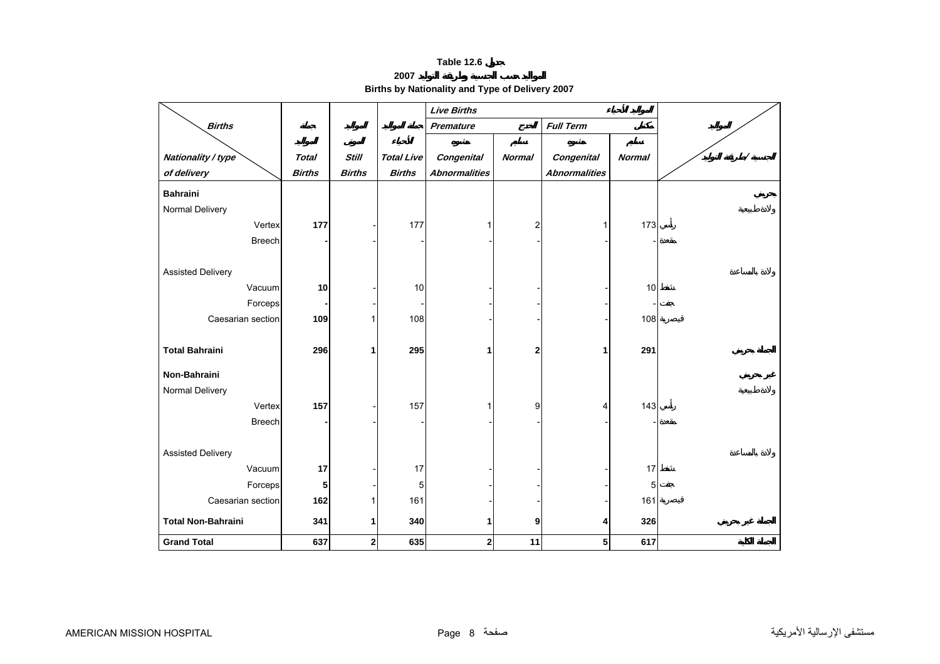**2007**

**Births by Nationality and Type of Delivery 2007** 

<span id="page-6-0"></span>

|                           |               |               |                   | <b>Live Births</b>   |                |                      |               |          |
|---------------------------|---------------|---------------|-------------------|----------------------|----------------|----------------------|---------------|----------|
| <b>Births</b>             |               |               |                   | <b>Premature</b>     |                | <b>Full Term</b>     |               |          |
|                           |               |               |                   |                      |                |                      |               |          |
| Nationality / type        | <b>Total</b>  | <b>Still</b>  | <b>Total Live</b> | <b>Congenital</b>    | <b>Normal</b>  | <b>Congenital</b>    | <b>Normal</b> | $\prime$ |
| of delivery               | <b>Births</b> | <b>Births</b> | <b>Births</b>     | <b>Abnormalities</b> |                | <b>Abnormalities</b> |               |          |
| <b>Bahraini</b>           |               |               |                   |                      |                |                      |               |          |
| Normal Delivery           |               |               |                   |                      |                |                      |               |          |
| Vertex                    | 177           |               | 177               | 1                    | $\overline{c}$ | 1                    | 173           |          |
| <b>Breech</b>             |               |               |                   |                      |                |                      |               |          |
|                           |               |               |                   |                      |                |                      |               |          |
| <b>Assisted Delivery</b>  |               |               |                   |                      |                |                      |               |          |
| Vacuum                    | 10            |               | 10                |                      |                |                      | 10            |          |
| Forceps                   |               |               |                   |                      |                |                      |               |          |
| Caesarian section         | 109           | 1             | 108               |                      |                |                      | 108           |          |
|                           |               |               |                   |                      |                |                      |               |          |
| <b>Total Bahraini</b>     | 296           | 1             | 295               | 1                    | $\mathbf{2}$   | 1                    | 291           |          |
| Non-Bahraini              |               |               |                   |                      |                |                      |               |          |
| Normal Delivery           |               |               |                   |                      |                |                      |               |          |
| Vertex                    | 157           |               | 157               |                      | 9              | 4                    | 143           |          |
| <b>Breech</b>             |               |               |                   |                      |                |                      |               |          |
|                           |               |               |                   |                      |                |                      |               |          |
| <b>Assisted Delivery</b>  |               |               |                   |                      |                |                      |               |          |
| Vacuum                    | 17            |               | 17                |                      |                |                      | 17            |          |
| Forceps                   | 5             |               | $\mathbf 5$       |                      |                |                      | 5             |          |
| Caesarian section         | 162           | 1             | 161               |                      |                |                      | 161           |          |
| <b>Total Non-Bahraini</b> | 341           | 1             | 340               | 1                    | 9              | 4                    | 326           |          |
| <b>Grand Total</b>        | 637           | $\mathbf{2}$  | 635               | $\mathbf 2$          | 11             | 5                    | 617           |          |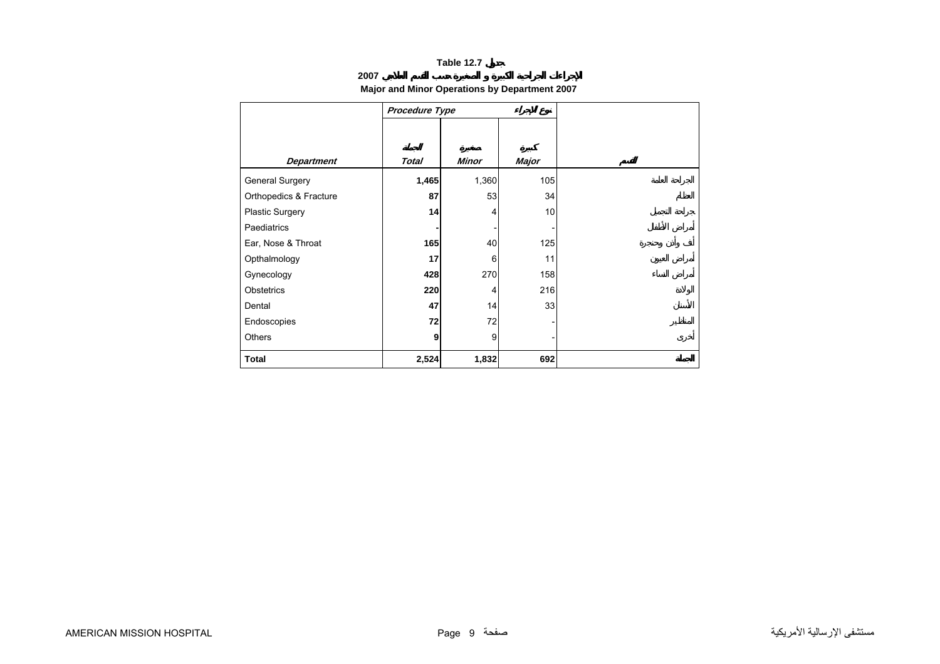## **2007**

## **Major and Minor Operations by Department 2007**

<span id="page-7-0"></span>

|                        | Procedure Type |       |       |
|------------------------|----------------|-------|-------|
|                        |                |       |       |
|                        |                |       |       |
| <b>Department</b>      | <b>Total</b>   | Minor | Major |
| General Surgery        | 1,465          | 1,360 | 105   |
| Orthopedics & Fracture | 87             | 53    | 34    |
| Plastic Surgery        | 14             | 4     | 10    |
| <b>Paediatrics</b>     |                |       |       |
| Ear, Nose & Throat     | 165            | 40    | 125   |
| Opthalmology           | 17             | 6     | 11    |
| Gynecology             | 428            | 270   | 158   |
| Obstetrics             | 220            | 4     | 216   |
| Dental                 | 47             | 14    | 33    |
| Endoscopies            | 72             | 72    |       |
| <b>Others</b>          | 9              | 9     |       |
| <b>Total</b>           | 2,524          | 1,832 | 692   |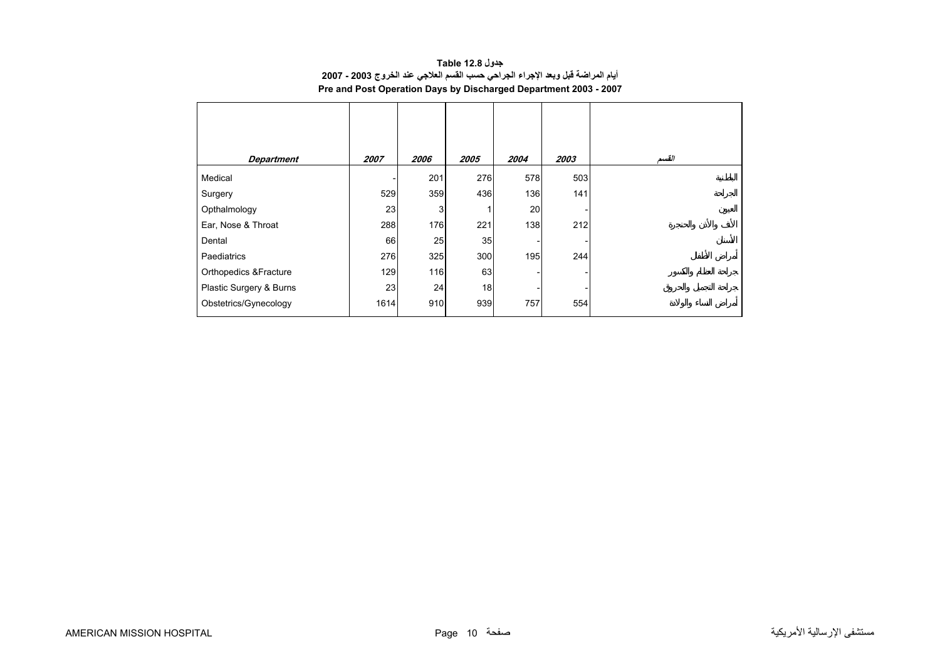| جدول Table 12.8                                                                |
|--------------------------------------------------------------------------------|
| أيام المراضة قبل وبعد الإجراء الجراحي حسب القسم العلاجي عند الخروج 2003 - 2007 |
| Pre and Post Operation Days by Discharged Department 2003 - 2007               |

<span id="page-8-0"></span>

| <b>Department</b>                | <i><b>2007</b></i> | <i><b>2006</b></i> | 2005 | 2004 | 2003 | القسم |
|----------------------------------|--------------------|--------------------|------|------|------|-------|
| Medical                          |                    | 201                | 276  | 578  | 503  |       |
| Surgery                          | 529                | 359                | 436  | 136  | 141  |       |
| Opthalmology                     | 23                 | 3                  |      | 20   |      |       |
| Ear, Nose & Throat               | 288                | 176                | 221  | 138  | 212  |       |
| Dental                           | 66                 | 25                 | 35   |      |      |       |
| Paediatrics                      | 276                | 325                | 300  | 195  | 244  |       |
| <b>Orthopedics &amp;Fracture</b> | 129                | 116                | 63   |      |      |       |
| Plastic Surgery & Burns          | 23                 | 24                 | 18   |      |      |       |
| Obstetrics/Gynecology            | 1614               | 910                | 939  | 757  | 554  |       |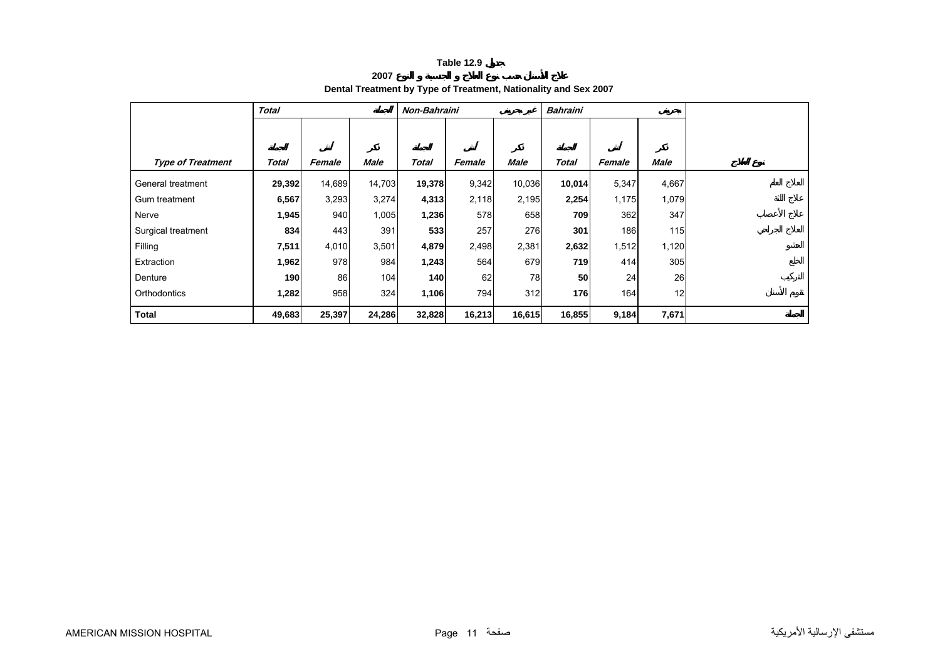**2007**

## **Dental Treatment by Type of Treatment, Nationality and Sex 2007**

<span id="page-9-0"></span>

|                          | <b>Total</b> |        | Non-Bahraini |              |        |             | Bahraini     |        |       |  |  |  |  |
|--------------------------|--------------|--------|--------------|--------------|--------|-------------|--------------|--------|-------|--|--|--|--|
|                          |              |        |              |              |        |             |              |        |       |  |  |  |  |
|                          |              |        |              |              |        |             |              |        |       |  |  |  |  |
| <b>Type of Treatment</b> | Total        | Female | <b>Male</b>  | <b>Total</b> | Female | <b>Male</b> | <b>Total</b> | Female | Male  |  |  |  |  |
| General treatment        | 29,392       | 14,689 | 14,703       | 19,378       | 9,342  | 10,036      | 10,014       | 5,347  | 4,667 |  |  |  |  |
| Gum treatment            | 6,567        | 3,293  | 3,274        | 4,313        | 2,118  | 2,195       | 2,254        | 1,175  | 1,079 |  |  |  |  |
| Nerve                    | 1,945        | 940    | 1,005        | 1,236        | 578    | 658         | 709          | 362    | 347   |  |  |  |  |
| Surgical treatment       | 834          | 443    | 391          | 533          | 257    | 276         | 301          | 186    | 115   |  |  |  |  |
| Filling                  | 7,511        | 4,010  | 3,501        | 4,879        | 2,498  | 2,381       | 2,632        | 1,512  | 1,120 |  |  |  |  |
| Extraction               | 1,962        | 978    | 984          | 1,243        | 564    | 679         | 719          | 414    | 305   |  |  |  |  |
| Denture                  | 190          | 86     | 104          | 140          | 62     | 78          | 50           | 24     | 26    |  |  |  |  |
| Orthodontics             | 1,282        | 958    | 324          | 1,106        | 794    | 312         | 176          | 164    | 12    |  |  |  |  |
| <b>Total</b>             | 49,683       | 25,397 | 24,286       | 32,828       | 16,213 | 16,615      | 16,855       | 9,184  | 7,671 |  |  |  |  |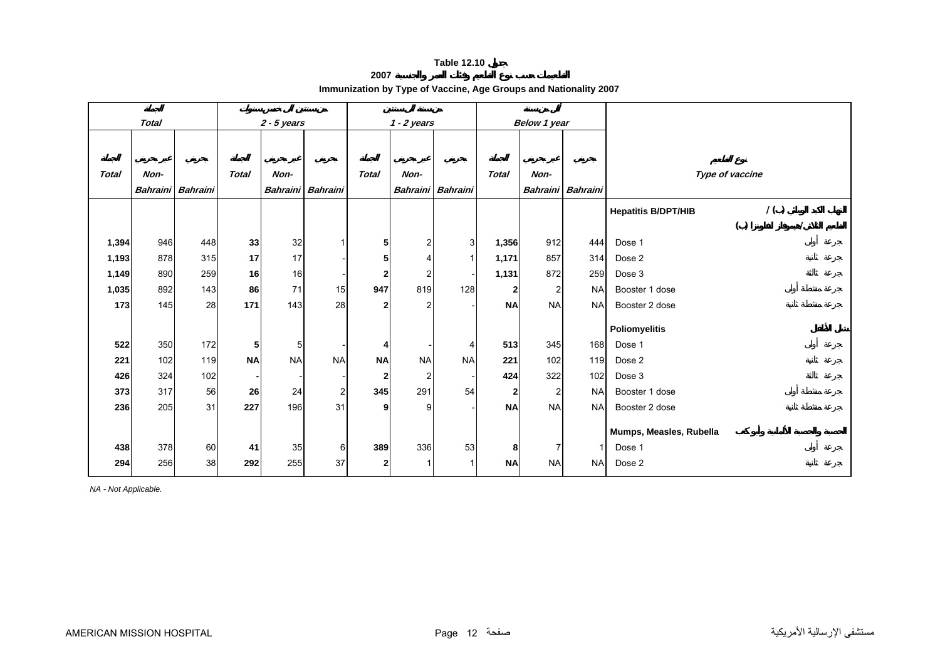**2007**

**Immunization by Type of Vaccine, Age Groups and Nationality 2007** 

<span id="page-10-0"></span>

| <b>Total</b> |      |                   | $2 - 5$ years |                 |                  | $1 - 2$ years  |           |                   | Below 1 year |                 |                 |                                   |
|--------------|------|-------------------|---------------|-----------------|------------------|----------------|-----------|-------------------|--------------|-----------------|-----------------|-----------------------------------|
|              |      |                   |               |                 |                  |                |           |                   |              |                 |                 |                                   |
| <b>Total</b> | Non- |                   | <b>Total</b>  | Non-            |                  | <b>Total</b>   | Non-      |                   | <b>Total</b> | Non-            |                 | Type of vaccine                   |
|              |      | Bahraini Bahraini |               | <b>Bahraini</b> | <b>Bahraini</b>  |                |           | Bahraini Bahraini |              | <b>Bahraini</b> | <b>Bahraini</b> |                                   |
|              |      |                   |               |                 |                  |                |           |                   |              |                 |                 |                                   |
|              |      |                   |               |                 |                  |                |           |                   |              |                 |                 | 1()<br><b>Hepatitis B/DPT/HIB</b> |
|              |      |                   |               |                 |                  |                |           |                   |              |                 |                 | ( )                               |
| 1,394        | 946  | 448               | 33            | 32              |                  | 5              |           | 3 <sup>1</sup>    | 1,356        | 912             | 444             | Dose 1                            |
| 1,193        | 878  | 315               | 17            | 17              |                  | 5              |           |                   | 1,171        | 857             | 314             | Dose 2                            |
| 1,149        | 890  | 259               | 16            | 16              |                  | $\overline{2}$ | 2         |                   | 1,131        | 872             | 259             | Dose 3                            |
| 1,035        | 892  | 143               | 86            | 71              | 15               | 947            | 819       | 128               | $\mathbf{2}$ | 2               | <b>NA</b>       | Booster 1 dose                    |
| 173          | 145  | 28                | 171           | 143             | 28               | $\overline{2}$ | ົ         |                   | <b>NA</b>    | <b>NA</b>       | <b>NA</b>       | Booster 2 dose                    |
|              |      |                   |               |                 |                  |                |           |                   |              |                 |                 |                                   |
|              |      |                   |               |                 |                  |                |           |                   |              |                 |                 | <b>Poliomyelitis</b>              |
| 522          | 350  | 172               | 5             | 5               |                  | 4              |           | 4                 | 513          | 345             | 168             | Dose 1                            |
| 221          | 102  | 119               | <b>NA</b>     | <b>NA</b>       | <b>NA</b>        | <b>NA</b>      | <b>NA</b> | <b>NA</b>         | 221          | 102             | 119             | Dose 2                            |
| 426          | 324  | 102               |               |                 |                  | $\mathbf 2$    | 2         |                   | 424          | 322             | 102             | Dose 3                            |
| 373          | 317  | 56                | 26            | 24              | $\overline{2}$   | 345            | 291       | 54                | $\mathbf{2}$ | $\overline{2}$  | <b>NA</b>       | Booster 1 dose                    |
| 236          | 205  | 31                | 227           | 196             | 31               | 9              | 9         |                   | <b>NA</b>    | <b>NA</b>       | <b>NA</b>       | Booster 2 dose                    |
|              |      |                   |               |                 |                  |                |           |                   |              |                 |                 |                                   |
|              |      |                   |               |                 |                  |                |           |                   |              |                 |                 | Mumps, Measles, Rubella           |
| 438          | 378  | 60                | 41            | 35              | $6 \overline{6}$ | 389            | 336       | 53                | 8            | 7               | 1               | Dose 1                            |
| 294          | 256  | 38                | 292           | 255             | 37               | $\mathbf{2}$   |           |                   | <b>NA</b>    | <b>NA</b>       | <b>NA</b>       | Dose 2                            |

*NA - Not Applicable.*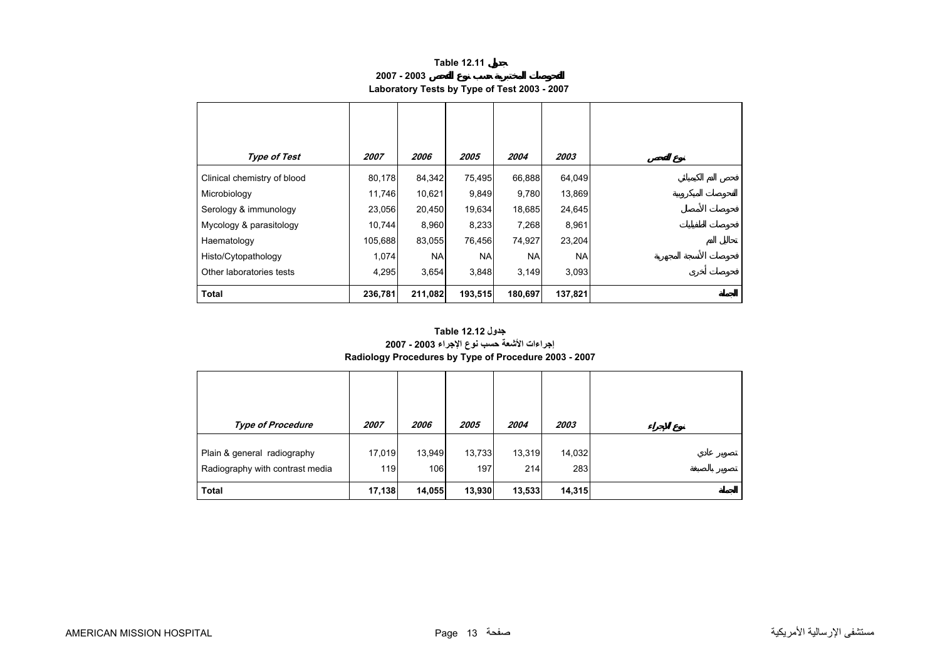**2007 - 2003**

## **Laboratory Tests by Type of Test 2003 - 2007**

<span id="page-11-0"></span>

| Type of Test                | 2007    | <i><b>2006</b></i> | 2005       | 2004      | 2003      |
|-----------------------------|---------|--------------------|------------|-----------|-----------|
| Clinical chemistry of blood | 80,178  | 84,342             | 75,495     | 66,888    | 64,049    |
| Microbiology                | 11,746  | 10,621             | 9,849      | 9,780     | 13,869    |
| Serology & immunology       | 23,056  | 20,450             | 19,634     | 18,685    | 24,645    |
| Mycology & parasitology     | 10,744  | 8,960              | 8,233      | 7,268     | 8,961     |
| Haematology                 | 105,688 | 83,055             | 76,456     | 74,927    | 23,204    |
| Histo/Cytopathology         | 1,074   | <b>NA</b>          | <b>NAI</b> | <b>NA</b> | <b>NA</b> |
| Other laboratories tests    | 4,295   | 3,654              | 3,848      | 3,149     | 3,093     |
| <b>Total</b>                | 236,781 | 211,082            | 193,515    | 180,697   | 137,821   |

### **إجراءات الأشعة حسب نوع الإجراء 2003 - 2007 Radiology Procedures by Type of Procedure 2003 - 2007 جدول 12.12 Table**

| <b>Type of Procedure</b>                                       | 2007          | 2006          | 2005          | 2004          | 2003          |
|----------------------------------------------------------------|---------------|---------------|---------------|---------------|---------------|
| Plain & general radiography<br>Radiography with contrast media | 17,019<br>119 | 13,949<br>106 | 13,733<br>197 | 13,319<br>214 | 14,032<br>283 |
| <b>Total</b>                                                   | 17,138        | 14,055        | 13,930        | 13,533        | 14,315        |